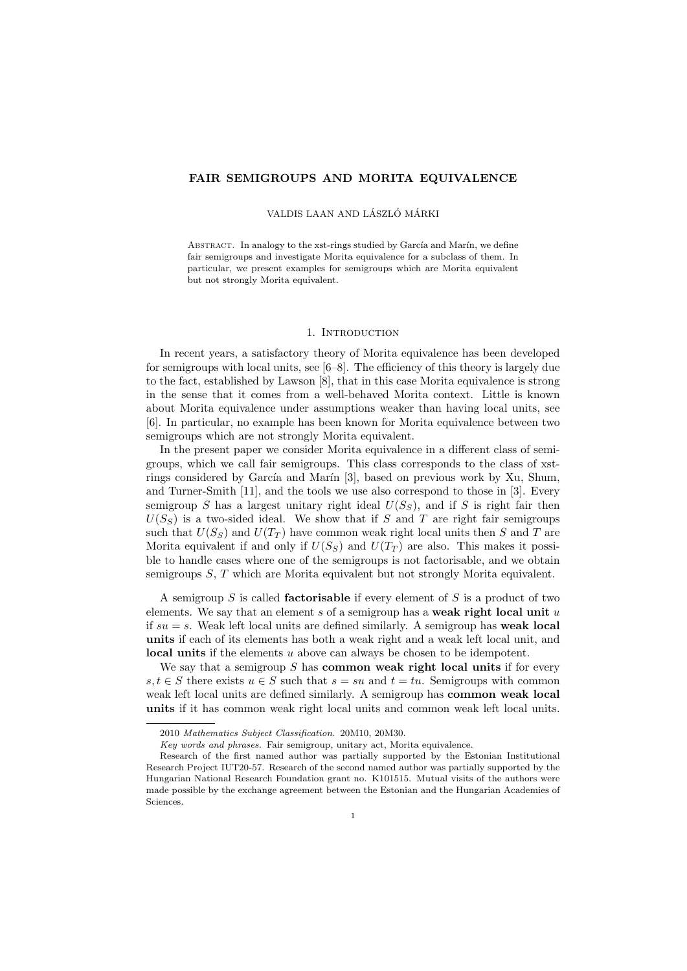# FAIR SEMIGROUPS AND MORITA EQUIVALENCE

# VALDIS LAAN AND LÁSZLÓ MÁRKI

ABSTRACT. In analogy to the xst-rings studied by García and Marín, we define fair semigroups and investigate Morita equivalence for a subclass of them. In particular, we present examples for semigroups which are Morita equivalent but not strongly Morita equivalent.

## 1. INTRODUCTION

In recent years, a satisfactory theory of Morita equivalence has been developed for semigroups with local units, see [6–8]. The efficiency of this theory is largely due to the fact, established by Lawson [8], that in this case Morita equivalence is strong in the sense that it comes from a well-behaved Morita context. Little is known about Morita equivalence under assumptions weaker than having local units, see [6]. In particular, no example has been known for Morita equivalence between two semigroups which are not strongly Morita equivalent.

In the present paper we consider Morita equivalence in a different class of semigroups, which we call fair semigroups. This class corresponds to the class of xstrings considered by García and Marín  $[3]$ , based on previous work by Xu, Shum, and Turner-Smith [11], and the tools we use also correspond to those in [3]. Every semigroup S has a largest unitary right ideal  $U(S<sub>S</sub>)$ , and if S is right fair then  $U(S_S)$  is a two-sided ideal. We show that if S and T are right fair semigroups such that  $U(S_S)$  and  $U(T_T)$  have common weak right local units then S and T are Morita equivalent if and only if  $U(S_S)$  and  $U(T_T)$  are also. This makes it possible to handle cases where one of the semigroups is not factorisable, and we obtain semigroups  $S, T$  which are Morita equivalent but not strongly Morita equivalent.

A semigroup  $S$  is called **factorisable** if every element of  $S$  is a product of two elements. We say that an element s of a semigroup has a weak right local unit  $u$ if  $su = s$ . Weak left local units are defined similarly. A semigroup has **weak local** units if each of its elements has both a weak right and a weak left local unit, and local units if the elements u above can always be chosen to be idempotent.

We say that a semigroup  $S$  has **common weak right local units** if for every s,  $t \in S$  there exists  $u \in S$  such that  $s = su$  and  $t = tu$ . Semigroups with common weak left local units are defined similarly. A semigroup has common weak local units if it has common weak right local units and common weak left local units.

<sup>2010</sup> Mathematics Subject Classification. 20M10, 20M30.

Key words and phrases. Fair semigroup, unitary act, Morita equivalence.

Research of the first named author was partially supported by the Estonian Institutional Research Project IUT20-57. Research of the second named author was partially supported by the Hungarian National Research Foundation grant no. K101515. Mutual visits of the authors were made possible by the exchange agreement between the Estonian and the Hungarian Academies of Sciences.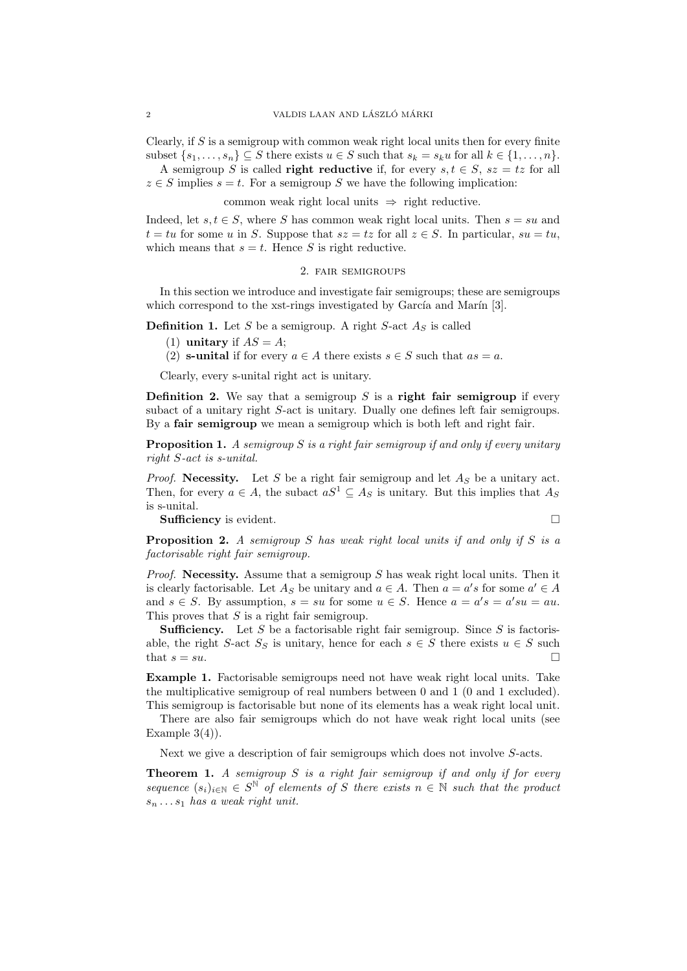Clearly, if  $S$  is a semigroup with common weak right local units then for every finite subset  $\{s_1, \ldots, s_n\} \subseteq S$  there exists  $u \in S$  such that  $s_k = s_k u$  for all  $k \in \{1, \ldots, n\}$ . A semigroup S is called **right reductive** if, for every  $s, t \in S$ ,  $sz = tz$  for all

 $z \in S$  implies  $s = t$ . For a semigroup S we have the following implication:

common weak right local units  $\Rightarrow$  right reductive.

Indeed, let  $s, t \in S$ , where S has common weak right local units. Then  $s = su$  and  $t = tu$  for some u in S. Suppose that  $sz = tz$  for all  $z \in S$ . In particular,  $su = tu$ , which means that  $s = t$ . Hence S is right reductive.

## 2. fair semigroups

In this section we introduce and investigate fair semigroups; these are semigroups which correspond to the xst-rings investigated by García and Marín  $[3]$ .

**Definition 1.** Let S be a semigroup. A right S-act  $A<sub>S</sub>$  is called

- (1) unitary if  $AS = A$ ;
- (2) **s-unital** if for every  $a \in A$  there exists  $s \in S$  such that  $as = a$ .

Clearly, every s-unital right act is unitary.

**Definition 2.** We say that a semigroup  $S$  is a **right fair semigroup** if every subact of a unitary right S-act is unitary. Dually one defines left fair semigroups. By a **fair semigroup** we mean a semigroup which is both left and right fair.

**Proposition 1.** A semigroup  $S$  is a right fair semigroup if and only if every unitary right S-act is s-unital.

*Proof.* Necessity. Let S be a right fair semigroup and let  $A<sub>S</sub>$  be a unitary act. Then, for every  $a \in A$ , the subact  $aS^1 \subseteq A_S$  is unitary. But this implies that  $A_S$ is s-unital.

Sufficiency is evident.

$$
\square
$$

**Proposition 2.** A semigroup S has weak right local units if and only if S is a factorisable right fair semigroup.

*Proof.* Necessity. Assume that a semigroup S has weak right local units. Then it is clearly factorisable. Let  $A_S$  be unitary and  $a \in A$ . Then  $a = a's$  for some  $a' \in A$ and  $s \in S$ . By assumption,  $s = su$  for some  $u \in S$ . Hence  $a = a's = a'su = au$ . This proves that  $S$  is a right fair semigroup.

**Sufficiency.** Let S be a factorisable right fair semigroup. Since S is factorisable, the right S-act  $S_S$  is unitary, hence for each  $s \in S$  there exists  $u \in S$  such that  $s = su$ .

Example 1. Factorisable semigroups need not have weak right local units. Take the multiplicative semigroup of real numbers between 0 and 1 (0 and 1 excluded). This semigroup is factorisable but none of its elements has a weak right local unit.

There are also fair semigroups which do not have weak right local units (see Example  $3(4)$ .

Next we give a description of fair semigroups which does not involve S-acts.

**Theorem 1.** A semigroup  $S$  is a right fair semigroup if and only if for every sequence  $(s_i)_{i\in\mathbb{N}} \in S^{\mathbb{N}}$  of elements of S there exists  $n \in \mathbb{N}$  such that the product  $s_n \ldots s_1$  has a weak right unit.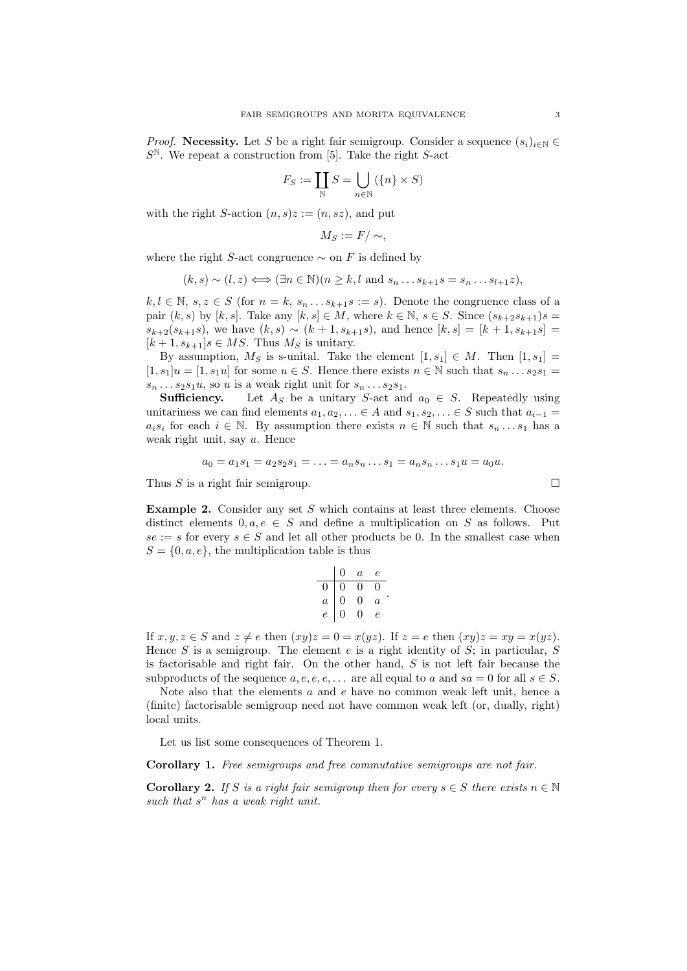*Proof.* Necessity. Let S be a right fair semigroup. Consider a sequence  $(s_i)_{i\in\mathbb{N}}$  $S^{\mathbb{N}}$ . We repeat a construction from [5]. Take the right S-act

$$
F_S := \coprod_{\mathbb{N}} S = \bigcup_{n \in \mathbb{N}} (\{n\} \times S)
$$

with the right S-action  $(n, s)z := (n, sz)$ , and put

$$
M_S := F / \sim,
$$

where the right S-act congruence  $\sim$  on F is defined by

$$
(k, s) \sim (l, z) \Longleftrightarrow (\exists n \in \mathbb{N})(n \geq k, l \text{ and } s_n \dots s_{k+1} s = s_n \dots s_{l+1} z),
$$

 $k, l \in \mathbb{N}, s, z \in S$  (for  $n = k, s_n \dots s_{k+1} s := s$ ). Denote the congruence class of a pair  $(k, s)$  by  $[k, s]$ . Take any  $[k, s] \in M$ , where  $k \in \mathbb{N}$ ,  $s \in S$ . Since  $(s_{k+2}s_{k+1})s =$  $s_{k+2}(s_{k+1}s)$ , we have  $(k, s) \sim (k+1, s_{k+1}s)$ , and hence  $[k, s] = [k+1, s_{k+1}s]$  $[k+1, s_{k+1}]s \in MS$ . Thus  $M_S$  is unitary.

By assumption,  $M_S$  is s-unital. Take the element  $[1, s_1] \in M$ . Then  $[1, s_1] =$  $[1, s_1]u = [1, s_1u]$  for some  $u \in S$ . Hence there exists  $n \in \mathbb{N}$  such that  $s_n \dots s_2 s_1 =$  $s_n \dots s_2 s_1 u$ , so u is a weak right unit for  $s_n \dots s_2 s_1$ .

**Sufficiency.** Let  $A_S$  be a unitary S-act and  $a_0 \in S$ . Repeatedly using unitariness we can find elements  $a_1, a_2, \ldots \in A$  and  $s_1, s_2, \ldots \in S$  such that  $a_{i-1} =$  $a_i s_i$  for each  $i \in \mathbb{N}$ . By assumption there exists  $n \in \mathbb{N}$  such that  $s_n \dots s_1$  has a weak right unit, say  $u$ . Hence

$$
a_0 = a_1 s_1 = a_2 s_2 s_1 = \ldots = a_n s_n \ldots s_1 = a_n s_n \ldots s_1 u = a_0 u.
$$

Thus S is a right fair semigroup.  $\square$ 

Example 2. Consider any set  $S$  which contains at least three elements. Choose distinct elements  $0, a, e \in S$  and define a multiplication on S as follows. Put  $se := s$  for every  $s \in S$  and let all other products be 0. In the smallest case when  $S = \{0, a, e\}$ , the multiplication table is thus

|                | 0             | $\boldsymbol{a}$ | е              |
|----------------|---------------|------------------|----------------|
| 0              | 0             | 0                |                |
| $\overline{a}$ | $\frac{0}{1}$ | 0                | $\overline{a}$ |
| $\overline{e}$ | 0             | 0                | e              |

If  $x, y, z \in S$  and  $z \neq e$  then  $(xy)z = 0 = x(yz)$ . If  $z = e$  then  $(xy)z = xy = x(yz)$ . Hence S is a semigroup. The element e is a right identity of  $S$ ; in particular, S is factorisable and right fair. On the other hand,  $S$  is not left fair because the subproducts of the sequence  $a, e, e, e, \ldots$  are all equal to a and  $sa = 0$  for all  $s \in S$ .

Note also that the elements a and e have no common weak left unit, hence a (finite) factorisable semigroup need not have common weak left (or, dually, right) local units.

Let us list some consequences of Theorem 1.

Corollary 1. Free semigroups and free commutative semigroups are not fair.

**Corollary 2.** If S is a right fair semigroup then for every  $s \in S$  there exists  $n \in \mathbb{N}$ such that  $s^n$  has a weak right unit.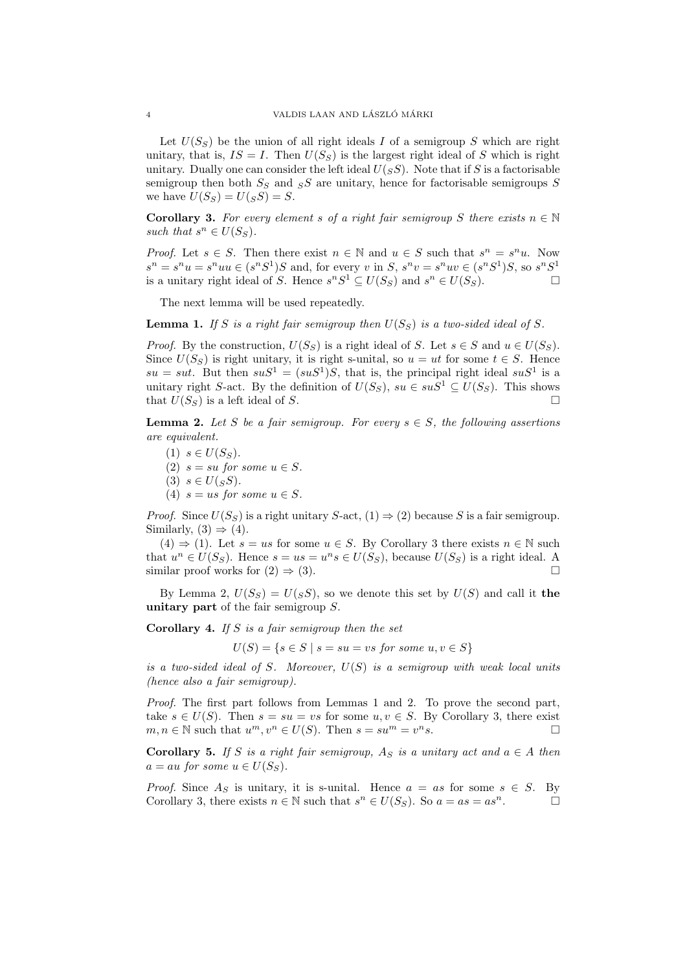Let  $U(S_S)$  be the union of all right ideals I of a semigroup S which are right unitary, that is,  $IS = I$ . Then  $U(S<sub>S</sub>)$  is the largest right ideal of S which is right unitary. Dually one can consider the left ideal  $U(sS)$ . Note that if S is a factorisable semigroup then both  $S_S$  and  $S_S$  are unitary, hence for factorisable semigroups S we have  $U(S_S) = U(sS) = S$ .

**Corollary 3.** For every element s of a right fair semigroup S there exists  $n \in \mathbb{N}$ such that  $s^n \in U(S_S)$ .

*Proof.* Let  $s \in S$ . Then there exist  $n \in \mathbb{N}$  and  $u \in S$  such that  $s^n = s^n u$ . Now  $s^n = s^n u = s^n uu \in (s^n S^1)S$  and, for every v in S,  $s^n v = s^n uv \in (s^n S^1)S$ , so  $s^n S^1$ is a unitary right ideal of S. Hence  $s^nS^1 \subseteq U(S_S)$  and  $s^n \in U(S_S)$ .

The next lemma will be used repeatedly.

**Lemma 1.** If S is a right fair semigroup then  $U(S_S)$  is a two-sided ideal of S.

*Proof.* By the construction,  $U(S_S)$  is a right ideal of S. Let  $s \in S$  and  $u \in U(S_S)$ . Since  $U(S_S)$  is right unitary, it is right s-unital, so  $u = ut$  for some  $t \in S$ . Hence  $su = sut$ . But then  $suS^1 = (suS^1)S$ , that is, the principal right ideal  $suS^1$  is a unitary right S-act. By the definition of  $U(S_S)$ ,  $su \in suS^1 \subseteq U(S_S)$ . This shows that  $U(S_S)$  is a left ideal of S.

**Lemma 2.** Let S be a fair semigroup. For every  $s \in S$ , the following assertions are equivalent.

 $(1)$   $s \in U(S<sub>S</sub>)$ . (2)  $s = su$  for some  $u \in S$ . (3)  $s \in U(sS)$ . (4)  $s = us$  for some  $u \in S$ .

*Proof.* Since  $U(S_S)$  is a right unitary S-act,  $(1) \Rightarrow (2)$  because S is a fair semigroup. Similarly,  $(3) \Rightarrow (4)$ .

 $(4) \Rightarrow (1)$ . Let  $s = us$  for some  $u \in S$ . By Corollary 3 there exists  $n \in \mathbb{N}$  such that  $u^n \in U(S_S)$ . Hence  $s = us = u^n s \in U(S_S)$ , because  $U(S_S)$  is a right ideal. A similar proof works for  $(2) \Rightarrow (3)$ .

By Lemma 2,  $U(S_S) = U(sS)$ , so we denote this set by  $U(S)$  and call it the unitary part of the fair semigroup S.

**Corollary 4.** If S is a fair semigroup then the set

$$
U(S) = \{ s \in S \mid s = su = vs \text{ for some } u, v \in S \}
$$

is a two-sided ideal of S. Moreover,  $U(S)$  is a semigroup with weak local units (hence also a fair semigroup).

Proof. The first part follows from Lemmas 1 and 2. To prove the second part, take  $s \in U(S)$ . Then  $s = su = vs$  for some  $u, v \in S$ . By Corollary 3, there exist  $m, n \in \mathbb{N}$  such that  $u^m, v^n \in U(S)$ . Then  $s = su^m = v^n s$ .

Corollary 5. If S is a right fair semigroup,  $A_S$  is a unitary act and  $a \in A$  then  $a = au$  for some  $u \in U(S_S)$ .

*Proof.* Since  $A_S$  is unitary, it is s-unital. Hence  $a = as$  for some  $s \in S$ . By Corollary 3, there exists  $n \in \mathbb{N}$  such that  $s^n \in U(S_S)$ . So  $a = as = as^n$ .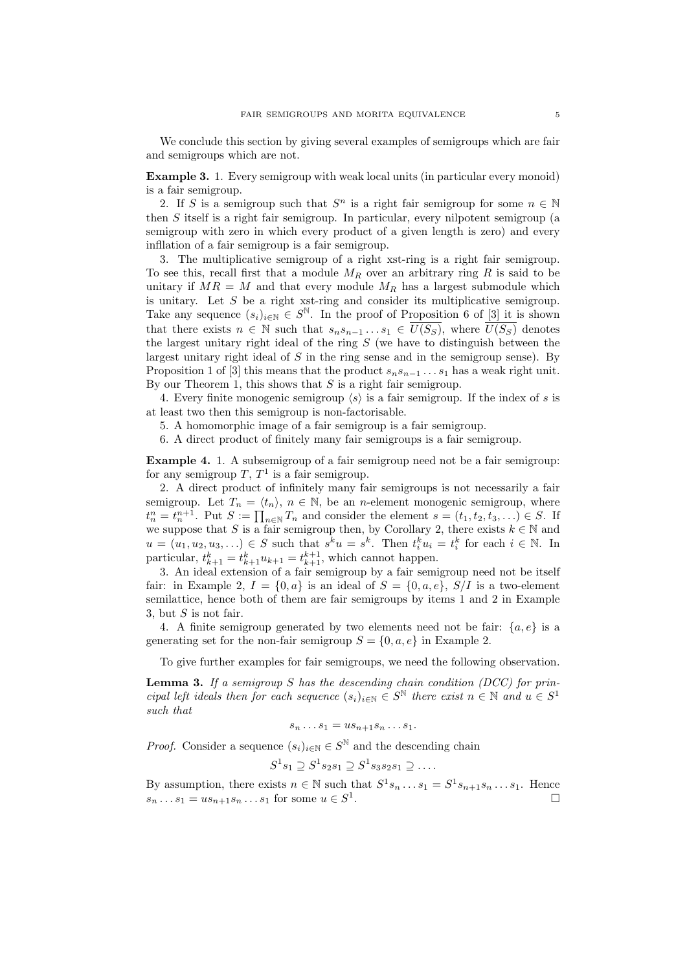We conclude this section by giving several examples of semigroups which are fair and semigroups which are not.

Example 3. 1. Every semigroup with weak local units (in particular every monoid) is a fair semigroup.

2. If S is a semigroup such that  $S^n$  is a right fair semigroup for some  $n \in \mathbb{N}$ then S itself is a right fair semigroup. In particular, every nilpotent semigroup (a semigroup with zero in which every product of a given length is zero) and every infllation of a fair semigroup is a fair semigroup.

3. The multiplicative semigroup of a right xst-ring is a right fair semigroup. To see this, recall first that a module  $M_R$  over an arbitrary ring R is said to be unitary if  $MR = M$  and that every module  $M_R$  has a largest submodule which is unitary. Let  $S$  be a right xst-ring and consider its multiplicative semigroup. Take any sequence  $(s_i)_{i\in\mathbb{N}}\in S^{\mathbb{N}}$ . In the proof of Proposition 6 of [3] it is shown that there exists  $n \in \mathbb{N}$  such that  $s_n s_{n-1} \ldots s_1 \in \overline{U(S_S)}$ , where  $\overline{U(S_S)}$  denotes the largest unitary right ideal of the ring  $S$  (we have to distinguish between the largest unitary right ideal of  $S$  in the ring sense and in the semigroup sense). By Proposition 1 of [3] this means that the product  $s_n s_{n-1} \ldots s_1$  has a weak right unit. By our Theorem 1, this shows that  $S$  is a right fair semigroup.

4. Every finite monogenic semigroup  $\langle s \rangle$  is a fair semigroup. If the index of s is at least two then this semigroup is non-factorisable.

5. A homomorphic image of a fair semigroup is a fair semigroup.

6. A direct product of finitely many fair semigroups is a fair semigroup.

Example 4. 1. A subsemigroup of a fair semigroup need not be a fair semigroup: for any semigroup  $T, T<sup>1</sup>$  is a fair semigroup.

2. A direct product of infinitely many fair semigroups is not necessarily a fair semigroup. Let  $T_n = \langle t_n \rangle$ ,  $n \in \mathbb{N}$ , be an *n*-element monogenic semigroup, where  $t_n^n = t_n^{n+1}$ . Put  $S := \prod_{n \in \mathbb{N}} T_n$  and consider the element  $s = (t_1, t_2, t_3, \ldots) \in S$ . If we suppose that S is a fair semigroup then, by Corollary 2, there exists  $k \in \mathbb{N}$  and  $u = (u_1, u_2, u_3, \ldots) \in S$  such that  $s^k u = s^k$ . Then  $t_i^k u_i = t_i^k$  for each  $i \in \mathbb{N}$ . In particular,  $t_{k+1}^k = t_{k+1}^k u_{k+1} = t_{k+1}^{k+1}$ , which cannot happen.

3. An ideal extension of a fair semigroup by a fair semigroup need not be itself fair: in Example 2,  $I = \{0, a\}$  is an ideal of  $S = \{0, a, e\}$ ,  $S/I$  is a two-element semilattice, hence both of them are fair semigroups by items 1 and 2 in Example 3, but  $S$  is not fair.

4. A finite semigroup generated by two elements need not be fair:  $\{a, e\}$  is a generating set for the non-fair semigroup  $S = \{0, a, e\}$  in Example 2.

To give further examples for fair semigroups, we need the following observation.

**Lemma 3.** If a semigroup  $S$  has the descending chain condition (DCC) for principal left ideals then for each sequence  $(s_i)_{i\in\mathbb{N}} \in S^{\mathbb{N}}$  there exist  $n \in \mathbb{N}$  and  $u \in S^1$ such that

$$
s_n \dots s_1 = u s_{n+1} s_n \dots s_1.
$$

*Proof.* Consider a sequence  $(s_i)_{i \in \mathbb{N}} \in S^{\mathbb{N}}$  and the descending chain

 $S^1s_1 \supseteq S^1s_2s_1 \supseteq S^1s_3s_2s_1 \supseteq \ldots$ 

By assumption, there exists  $n \in \mathbb{N}$  such that  $S^1s_n \dots s_1 = S^1s_{n+1}s_n \dots s_1$ . Hence  $s_n \dots s_1 = u s_{n+1} s_n \dots s_1$  for some  $u \in S^1$ .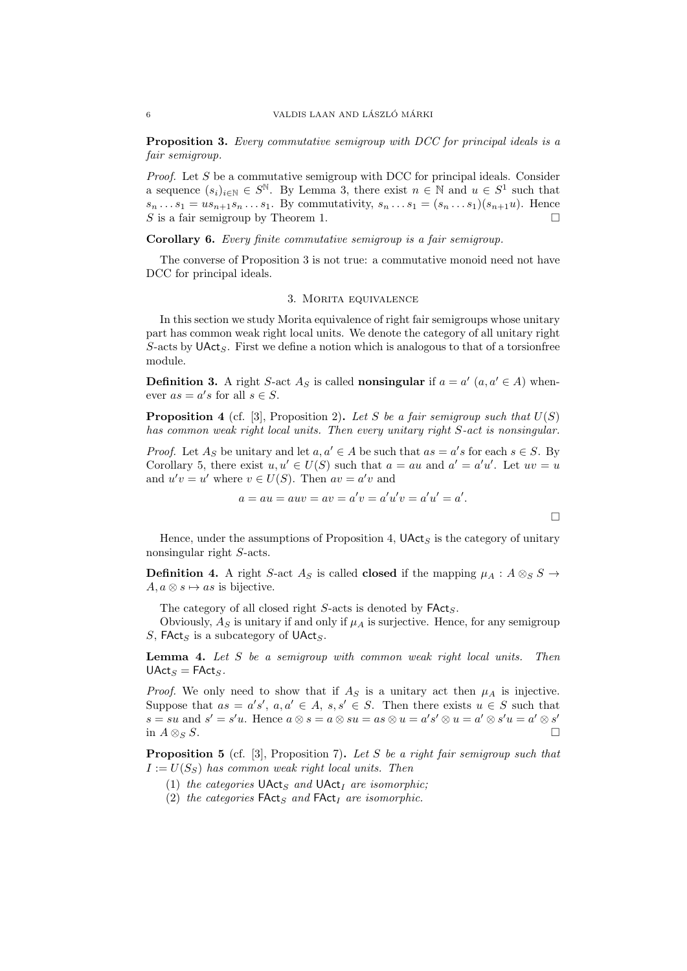Proposition 3. Every commutative semigroup with DCC for principal ideals is a fair semigroup.

Proof. Let S be a commutative semigroup with DCC for principal ideals. Consider a sequence  $(s_i)_{i\in\mathbb{N}}\in S^{\mathbb{N}}$ . By Lemma 3, there exist  $n\in\mathbb{N}$  and  $u\in S^1$  such that  $s_n ... s_1 = u s_{n+1} s_n ... s_1$ . By commutativity,  $s_n ... s_1 = (s_n ... s_1)(s_{n+1} u)$ . Hence S is a fair semigroup by Theorem 1.

## Corollary 6. Every finite commutative semigroup is a fair semigroup.

The converse of Proposition 3 is not true: a commutative monoid need not have DCC for principal ideals.

## 3. Morita equivalence

In this section we study Morita equivalence of right fair semigroups whose unitary part has common weak right local units. We denote the category of all unitary right  $S$ -acts by  $\mathsf{UAct}_S$ . First we define a notion which is analogous to that of a torsionfree module.

**Definition 3.** A right S-act  $A_S$  is called **nonsingular** if  $a = a'$   $(a, a' \in A)$  whenever  $as = a's$  for all  $s \in S$ .

**Proposition 4** (cf. [3], Proposition 2). Let S be a fair semigroup such that  $U(S)$ has common weak right local units. Then every unitary right S-act is nonsingular.

*Proof.* Let  $A_S$  be unitary and let  $a, a' \in A$  be such that  $as = a's$  for each  $s \in S$ . By Corollary 5, there exist  $u, u' \in U(S)$  such that  $a = au$  and  $a' = a'u'$ . Let  $uv = u$ and  $u'v = u'$  where  $v \in U(S)$ . Then  $av = a'v$  and

$$
a = au = auv = av = a'v = a'u'v = a'u' = a'.
$$

 $\Box$ 

Hence, under the assumptions of Proposition 4,  $\mathsf{UAct}_S$  is the category of unitary nonsingular right S-acts.

**Definition 4.** A right S-act  $A_S$  is called **closed** if the mapping  $\mu_A : A \otimes_S S \rightarrow$  $A, a \otimes s \mapsto as$  is bijective.

The category of all closed right  $S$ -acts is denoted by  $\mathsf{FAct}_S$ .

Obviously,  $A<sub>S</sub>$  is unitary if and only if  $\mu_A$  is surjective. Hence, for any semigroup  $S$ , FAct<sub>S</sub> is a subcategory of UAct<sub>S</sub>.

Lemma 4. Let S be a semigroup with common weak right local units. Then  $\mathsf{UAct}_S = \mathsf{FAct}_S$ .

*Proof.* We only need to show that if  $A<sub>S</sub>$  is a unitary act then  $\mu_A$  is injective. Suppose that  $as = a's', a, a' \in A, s, s' \in S$ . Then there exists  $u \in S$  such that  $s = su$  and  $s' = s'u$ . Hence  $a \otimes s = a \otimes su = as \otimes u = a's' \otimes u = a' \otimes s'u = a' \otimes s'$ in  $A \otimes_S S$ .

**Proposition 5** (cf. [3], Proposition 7). Let S be a right fair semigroup such that  $I := U(S_S)$  has common weak right local units. Then

- (1) the categories  $\mathsf{UAct}_S$  and  $\mathsf{UAct}_I$  are isomorphic;
- (2) the categories  $\mathsf{FAct}_S$  and  $\mathsf{FAct}_I$  are isomorphic.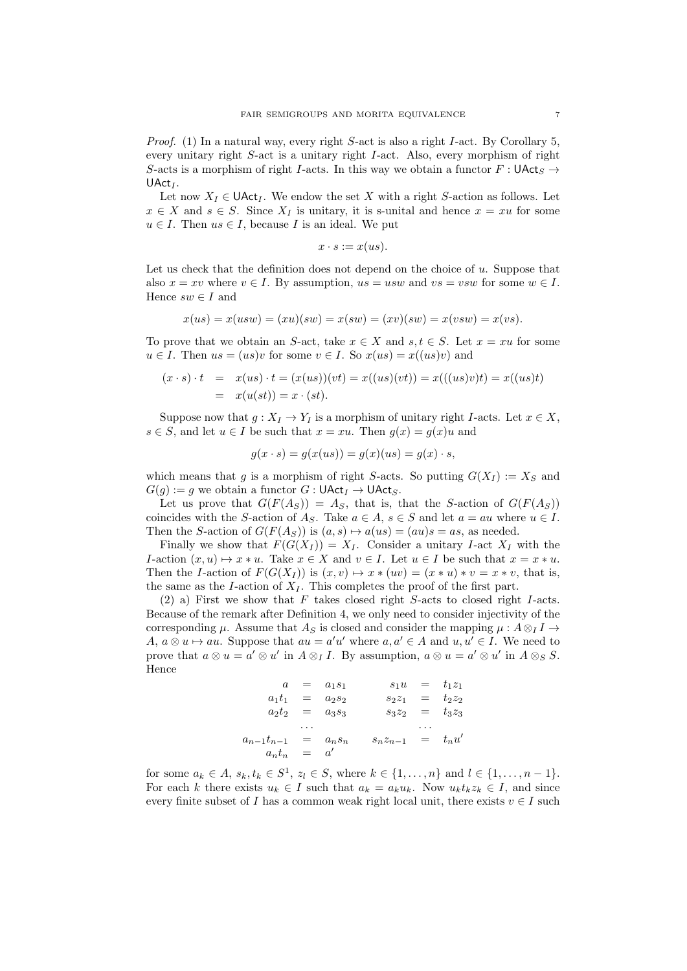*Proof.* (1) In a natural way, every right  $S$ -act is also a right I-act. By Corollary 5, every unitary right S-act is a unitary right I-act. Also, every morphism of right S-acts is a morphism of right I-acts. In this way we obtain a functor  $F : \mathsf{UAct}_S \rightarrow$  $\mathsf{UAct}_I$ .

Let now  $X_I \in \mathsf{UAct}_I$ . We endow the set X with a right S-action as follows. Let  $x \in X$  and  $s \in S$ . Since  $X_I$  is unitary, it is s-unital and hence  $x = xu$  for some  $u \in I$ . Then  $us \in I$ , because I is an ideal. We put

$$
x \cdot s := x(us).
$$

Let us check that the definition does not depend on the choice of  $u$ . Suppose that also  $x = xv$  where  $v \in I$ . By assumption,  $us = usw$  and  $vs = vsw$  for some  $w \in I$ . Hence  $sw \in I$  and

$$
x(us) = x(usw) = (xu)(sw) = x(sw) = (xv)(sw) = x(vsw) = x(vs).
$$

To prove that we obtain an S-act, take  $x \in X$  and  $s, t \in S$ . Let  $x = xu$  for some  $u \in I$ . Then  $us = (us)v$  for some  $v \in I$ . So  $x(us) = x((us)v)$  and

$$
(x \cdot s) \cdot t = x(us) \cdot t = (x(us))(vt) = x((us)(vt)) = x(((us)v)t) = x((us)t)
$$
  
=  $x(u(st)) = x \cdot (st)$ .

Suppose now that  $g: X_I \to Y_I$  is a morphism of unitary right *I*-acts. Let  $x \in X$ ,  $s \in S$ , and let  $u \in I$  be such that  $x = xu$ . Then  $g(x) = g(x)u$  and

$$
g(x \cdot s) = g(x(us)) = g(x)(us) = g(x) \cdot s,
$$

which means that g is a morphism of right S-acts. So putting  $G(X_I) := X_S$  and  $G(g) := g$  we obtain a functor  $G : \mathsf{UAct}_I \to \mathsf{UAct}_S$ .

Let us prove that  $G(F(A_S)) = A_S$ , that is, that the S-action of  $G(F(A_S))$ coincides with the S-action of  $A_S$ . Take  $a \in A$ ,  $s \in S$  and let  $a = au$  where  $u \in I$ . Then the S-action of  $G(F(A_S))$  is  $(a, s) \mapsto a(us) = (au)s = as$ , as needed.

Finally we show that  $F(G(X_I)) = X_I$ . Consider a unitary I-act  $X_I$  with the I-action  $(x, u) \mapsto x * u$ . Take  $x \in X$  and  $v \in I$ . Let  $u \in I$  be such that  $x = x * u$ . Then the I-action of  $F(G(X_I))$  is  $(x, v) \mapsto x * (uv) = (x * u) * v = x * v$ , that is, the same as the I-action of  $X_I$ . This completes the proof of the first part.

 $(2)$  a) First we show that F takes closed right S-acts to closed right I-acts. Because of the remark after Definition 4, we only need to consider injectivity of the corresponding  $\mu$ . Assume that  $A_S$  is closed and consider the mapping  $\mu$  :  $A \otimes_I I \rightarrow$ A,  $a \otimes u \mapsto au$ . Suppose that  $au = a'u'$  where  $a, a' \in A$  and  $u, u' \in I$ . We need to prove that  $a \otimes u = a' \otimes u'$  in  $A \otimes_I I$ . By assumption,  $a \otimes u = a' \otimes u'$  in  $A \otimes_S S$ . Hence

$$
a = a_1 s_1 \t s_1 u = t_1 z_1
$$
  
\n
$$
a_1 t_1 = a_2 s_2 \t s_2 z_1 = t_2 z_2
$$
  
\n
$$
a_2 t_2 = a_3 s_3 \t s_3 z_2 = t_3 z_3
$$
  
\n...  
\n
$$
a_{n-1} t_{n-1} = a_n s_n \t s_n z_{n-1} = t_n u'
$$
  
\n
$$
a_n t_n = a'
$$

for some  $a_k \in A$ ,  $s_k, t_k \in S^1$ ,  $z_l \in S$ , where  $k \in \{1, ..., n\}$  and  $l \in \{1, ..., n-1\}$ . For each k there exists  $u_k \in I$  such that  $a_k = a_k u_k$ . Now  $u_k t_k z_k \in I$ , and since every finite subset of I has a common weak right local unit, there exists  $v \in I$  such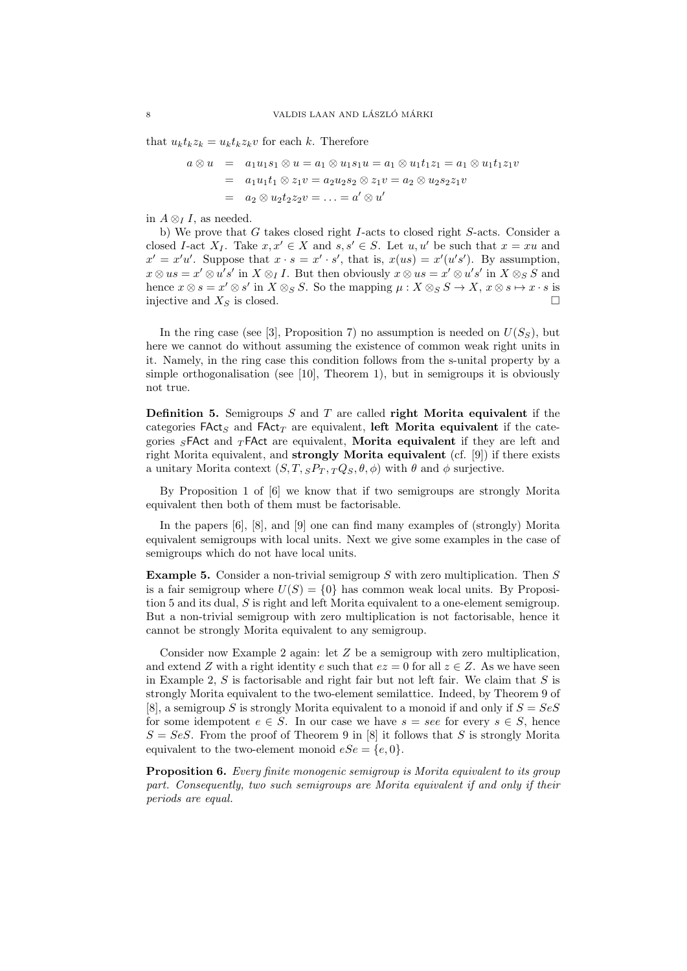that  $u_k t_k z_k = u_k t_k z_k v$  for each k. Therefore

$$
a \otimes u = a_1 u_1 s_1 \otimes u = a_1 \otimes u_1 s_1 u = a_1 \otimes u_1 t_1 z_1 = a_1 \otimes u_1 t_1 z_1 v
$$
  
= 
$$
a_1 u_1 t_1 \otimes z_1 v = a_2 u_2 s_2 \otimes z_1 v = a_2 \otimes u_2 s_2 z_1 v
$$
  
= 
$$
a_2 \otimes u_2 t_2 z_2 v = \dots = a' \otimes u'
$$

in  $A \otimes_I I$ , as needed.

b) We prove that G takes closed right I-acts to closed right S-acts. Consider a closed I-act  $X_I$ . Take  $x, x' \in X$  and  $s, s' \in S$ . Let  $u, u'$  be such that  $x = xu$  and  $x' = x'u'$ . Suppose that  $x \cdot s = x' \cdot s'$ , that is,  $x(us) = x'(u's')$ . By assumption,  $x \otimes u$ s =  $x' \otimes u's'$  in  $X \otimes_I I$ . But then obviously  $x \otimes u$ s =  $x' \otimes u's'$  in  $X \otimes_S S$  and hence  $x \otimes s = x' \otimes s'$  in  $X \otimes_S S$ . So the mapping  $\mu : X \otimes_S S \to X$ ,  $x \otimes s \mapsto x \cdot s$  is injective and  $X<sub>S</sub>$  is closed.

In the ring case (see [3], Proposition 7) no assumption is needed on  $U(S_S)$ , but here we cannot do without assuming the existence of common weak right units in it. Namely, in the ring case this condition follows from the s-unital property by a simple orthogonalisation (see [10], Theorem 1), but in semigroups it is obviously not true.

**Definition 5.** Semigroups  $S$  and  $T$  are called **right Morita equivalent** if the categories FAct<sub>S</sub> and FAct<sub>T</sub> are equivalent, left Morita equivalent if the categories  ${}_{S}$ FAct and  ${}_{T}$ FAct are equivalent, Morita equivalent if they are left and right Morita equivalent, and strongly Morita equivalent (cf. [9]) if there exists a unitary Morita context  $(S, T, {}_{S}P_T, {}_{T}Q_S, \theta, \phi)$  with  $\theta$  and  $\phi$  surjective.

By Proposition 1 of [6] we know that if two semigroups are strongly Morita equivalent then both of them must be factorisable.

In the papers [6], [8], and [9] one can find many examples of (strongly) Morita equivalent semigroups with local units. Next we give some examples in the case of semigroups which do not have local units.

**Example 5.** Consider a non-trivial semigroup S with zero multiplication. Then S is a fair semigroup where  $U(S) = \{0\}$  has common weak local units. By Proposition 5 and its dual, S is right and left Morita equivalent to a one-element semigroup. But a non-trivial semigroup with zero multiplication is not factorisable, hence it cannot be strongly Morita equivalent to any semigroup.

Consider now Example 2 again: let Z be a semigroup with zero multiplication, and extend Z with a right identity e such that  $ez = 0$  for all  $z \in Z$ . As we have seen in Example 2,  $S$  is factorisable and right fair but not left fair. We claim that  $S$  is strongly Morita equivalent to the two-element semilattice. Indeed, by Theorem 9 of [8], a semigroup S is strongly Morita equivalent to a monoid if and only if  $S = SeS$ for some idempotent  $e \in S$ . In our case we have  $s = see$  for every  $s \in S$ , hence  $S = SeS$ . From the proof of Theorem 9 in [8] it follows that S is strongly Morita equivalent to the two-element monoid  $eSe = \{e, 0\}.$ 

**Proposition 6.** Every finite monogenic semigroup is Morita equivalent to its group part. Consequently, two such semigroups are Morita equivalent if and only if their periods are equal.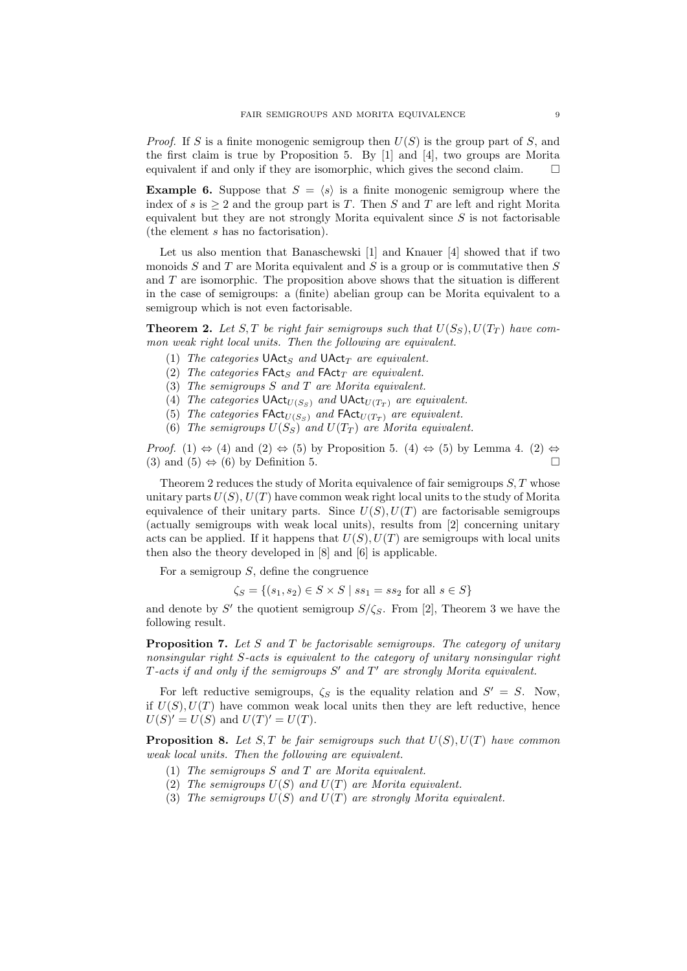*Proof.* If S is a finite monogenic semigroup then  $U(S)$  is the group part of S, and the first claim is true by Proposition 5. By [1] and [4], two groups are Morita equivalent if and only if they are isomorphic, which gives the second claim.  $\Box$ 

**Example 6.** Suppose that  $S = \langle s \rangle$  is a finite monogenic semigroup where the index of s is  $> 2$  and the group part is T. Then S and T are left and right Morita equivalent but they are not strongly Morita equivalent since  $S$  is not factorisable (the element s has no factorisation).

Let us also mention that Banaschewski [1] and Knauer [4] showed that if two monoids  $S$  and  $T$  are Morita equivalent and  $S$  is a group or is commutative then  $S$ and T are isomorphic. The proposition above shows that the situation is different in the case of semigroups: a (finite) abelian group can be Morita equivalent to a semigroup which is not even factorisable.

**Theorem 2.** Let S,T be right fair semigroups such that  $U(S_S)$ ,  $U(T_T)$  have common weak right local units. Then the following are equivalent.

- (1) The categories  $\mathsf{UAct}_S$  and  $\mathsf{UAct}_T$  are equivalent.
- (2) The categories  $\mathsf{FAct}_S$  and  $\mathsf{FAct}_T$  are equivalent.
- (3) The semigroups S and T are Morita equivalent.
- (4) The categories  $\mathsf{UAct}_{\mathcal{U}(S_{\mathcal{S}})}$  and  $\mathsf{UAct}_{\mathcal{U}(T_{T})}$  are equivalent.
- (5) The categories  $\mathsf{FAct}_{U(S_S)}$  and  $\mathsf{FAct}_{U(T_T)}$  are equivalent.
- (6) The semigroups  $U(S_S)$  and  $U(T_T)$  are Morita equivalent.

*Proof.* (1)  $\Leftrightarrow$  (4) and (2)  $\Leftrightarrow$  (5) by Proposition 5. (4)  $\Leftrightarrow$  (5) by Lemma 4. (2)  $\Leftrightarrow$ (3) and (5)  $\Leftrightarrow$  (6) by Definition 5.

Theorem 2 reduces the study of Morita equivalence of fair semigroups  $S, T$  whose unitary parts  $U(S)$ ,  $U(T)$  have common weak right local units to the study of Morita equivalence of their unitary parts. Since  $U(S)$ ,  $U(T)$  are factorisable semigroups (actually semigroups with weak local units), results from [2] concerning unitary acts can be applied. If it happens that  $U(S)$ ,  $U(T)$  are semigroups with local units then also the theory developed in [8] and [6] is applicable.

For a semigroup  $S$ , define the congruence

 $\zeta_S = \{(s_1, s_2) \in S \times S \mid ss_1 = ss_2 \text{ for all } s \in S\}$ 

and denote by S' the quotient semigroup  $S/\zeta_{S}$ . From [2], Theorem 3 we have the following result.

**Proposition 7.** Let S and T be factorisable semigroups. The category of unitary nonsingular right S-acts is equivalent to the category of unitary nonsingular right  $T$ -acts if and only if the semigroups  $S'$  and  $T'$  are strongly Morita equivalent.

For left reductive semigroups,  $\zeta_S$  is the equality relation and  $S' = S$ . Now, if  $U(S)$ ,  $U(T)$  have common weak local units then they are left reductive, hence  $U(S)' = U(S)$  and  $U(T)' = U(T)$ .

**Proposition 8.** Let S, T be fair semigroups such that  $U(S)$ ,  $U(T)$  have common weak local units. Then the following are equivalent.

- (1) The semigroups S and T are Morita equivalent.
- (2) The semigroups  $U(S)$  and  $U(T)$  are Morita equivalent.
- (3) The semigroups  $U(S)$  and  $U(T)$  are strongly Morita equivalent.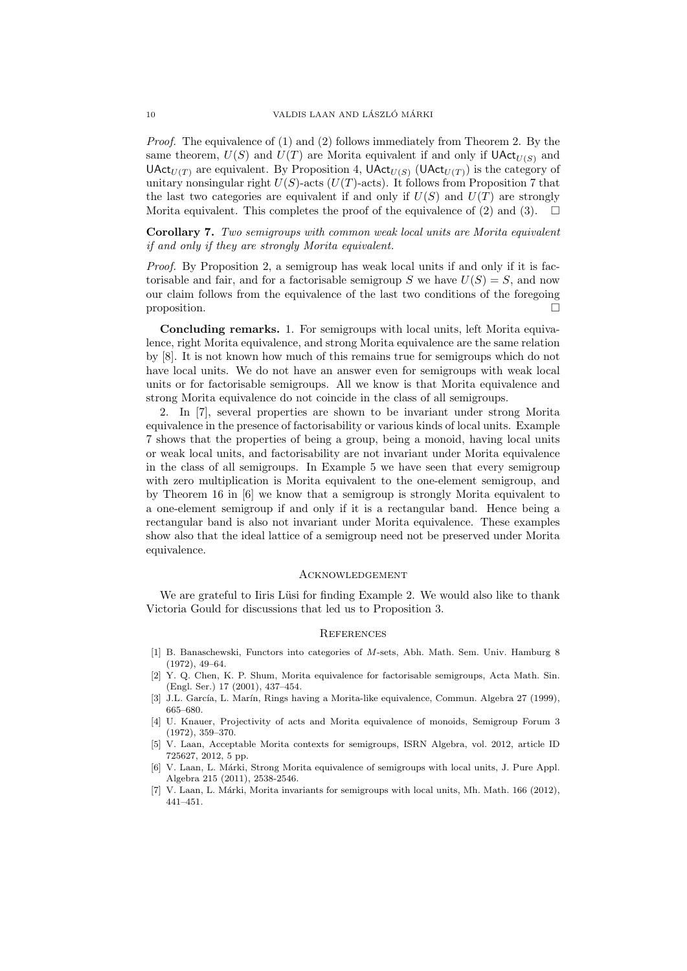Proof. The equivalence of (1) and (2) follows immediately from Theorem 2. By the same theorem,  $U(S)$  and  $U(T)$  are Morita equivalent if and only if  $\text{UAct}_{U(S)}$  and  $\mathsf{UAct}_{U(T)}$  are equivalent. By Proposition 4,  $\mathsf{UAct}_{U(S)}$  ( $\mathsf{UAct}_{U(T)}$ ) is the category of unitary nonsingular right  $U(S)$ -acts  $(U(T)$ -acts). It follows from Proposition 7 that the last two categories are equivalent if and only if  $U(S)$  and  $U(T)$  are strongly Morita equivalent. This completes the proof of the equivalence of (2) and (3).  $\Box$ 

Corollary 7. Two semigroups with common weak local units are Morita equivalent if and only if they are strongly Morita equivalent.

Proof. By Proposition 2, a semigroup has weak local units if and only if it is factorisable and fair, and for a factorisable semigroup S we have  $U(S) = S$ , and now our claim follows from the equivalence of the last two conditions of the foregoing proposition.

Concluding remarks. 1. For semigroups with local units, left Morita equivalence, right Morita equivalence, and strong Morita equivalence are the same relation by [8]. It is not known how much of this remains true for semigroups which do not have local units. We do not have an answer even for semigroups with weak local units or for factorisable semigroups. All we know is that Morita equivalence and strong Morita equivalence do not coincide in the class of all semigroups.

2. In [7], several properties are shown to be invariant under strong Morita equivalence in the presence of factorisability or various kinds of local units. Example 7 shows that the properties of being a group, being a monoid, having local units or weak local units, and factorisability are not invariant under Morita equivalence in the class of all semigroups. In Example 5 we have seen that every semigroup with zero multiplication is Morita equivalent to the one-element semigroup, and by Theorem 16 in [6] we know that a semigroup is strongly Morita equivalent to a one-element semigroup if and only if it is a rectangular band. Hence being a rectangular band is also not invariant under Morita equivalence. These examples show also that the ideal lattice of a semigroup need not be preserved under Morita equivalence.

#### **ACKNOWLEDGEMENT**

We are grateful to Iiris Lüsi for finding Example 2. We would also like to thank Victoria Gould for discussions that led us to Proposition 3.

#### **REFERENCES**

- [1] B. Banaschewski, Functors into categories of M-sets, Abh. Math. Sem. Univ. Hamburg 8 (1972), 49–64.
- [2] Y. Q. Chen, K. P. Shum, Morita equivalence for factorisable semigroups, Acta Math. Sin. (Engl. Ser.) 17 (2001), 437–454.
- [3] J.L. García, L. Marín, Rings having a Morita-like equivalence, Commun. Algebra 27 (1999), 665–680.
- [4] U. Knauer, Projectivity of acts and Morita equivalence of monoids, Semigroup Forum 3 (1972), 359–370.
- [5] V. Laan, Acceptable Morita contexts for semigroups, ISRN Algebra, vol. 2012, article ID 725627, 2012, 5 pp.
- [6] V. Laan, L. M´arki, Strong Morita equivalence of semigroups with local units, J. Pure Appl. Algebra 215 (2011), 2538-2546.
- [7] V. Laan, L. Márki, Morita invariants for semigroups with local units, Mh. Math. 166 (2012), 441–451.